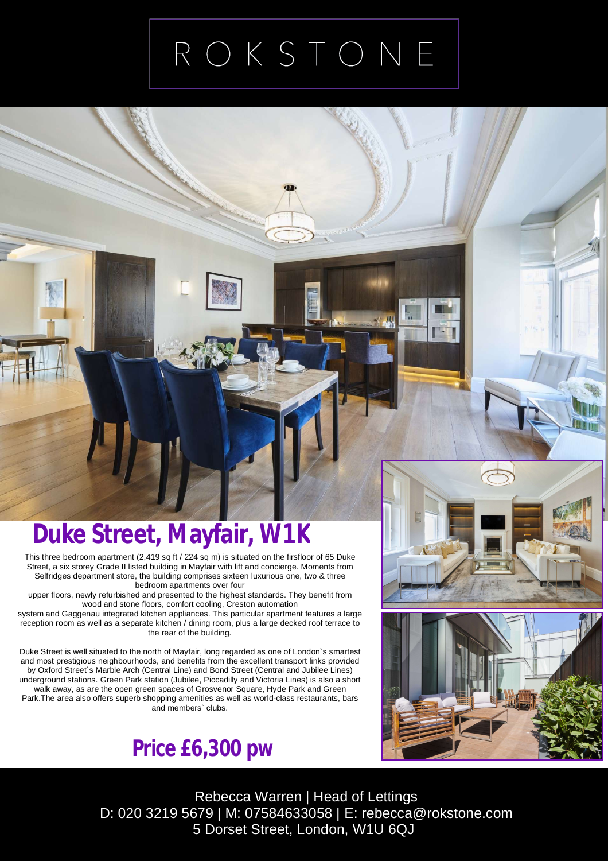## ROKSTONE

## **Duke Street, Mayfair, W1K**

This three bedroom apartment (2,419 sq ft / 224 sq m) is situated on the firsfloor of 65 Duke Street, a six storey Grade II listed building in Mayfair with lift and concierge. Moments from Selfridges department store, the building comprises sixteen luxurious one, two & three bedroom apartments over four

upper floors, newly refurbished and presented to the highest standards. They benefit from wood and stone floors, comfort cooling, Creston automation

system and Gaggenau integrated kitchen appliances. This particular apartment features a large reception room as well as a separate kitchen / dining room, plus a large decked roof terrace to the rear of the building.

Duke Street is well situated to the north of Mayfair, long regarded as one of London`s smartest and most prestigious neighbourhoods, and benefits from the excellent transport links provided by Oxford Street`s Marble Arch (Central Line) and Bond Street (Central and Jubilee Lines) underground stations. Green Park station (Jubilee, Piccadilly and Victoria Lines) is also a short walk away, as are the open green spaces of Grosvenor Square, Hyde Park and Green Park. The area also offers superb shopping amenities as well as world-class restaurants, bars and members` clubs.







## Rebecca Warren | Head of Lettings D: 020 3219 5679 | M: 07584633058 | E: [rebecca@rokstone.com](mailto:rebecca@rokstone.com) 5 Dorset Street, London, W1U 6QJ